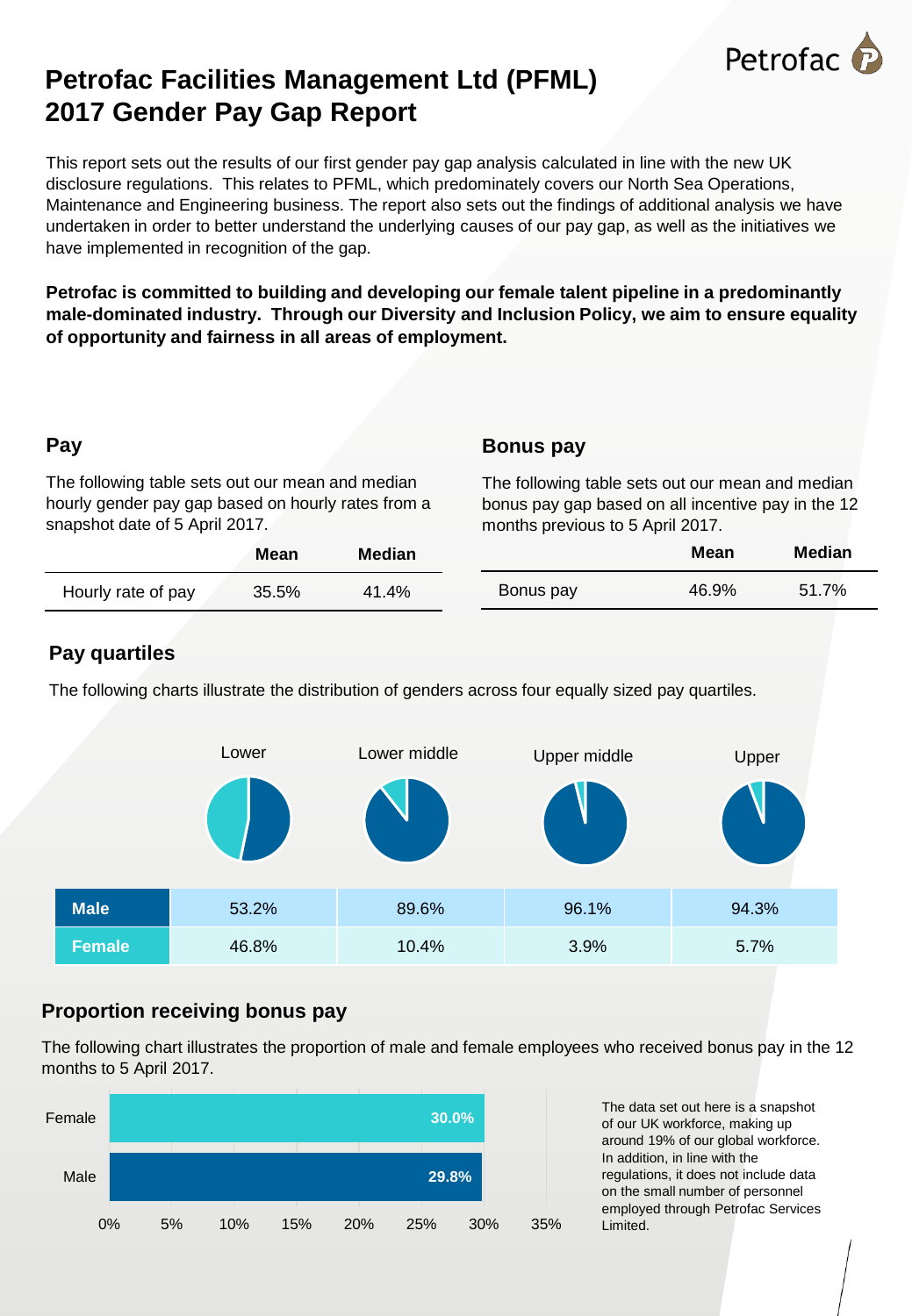

# **Petrofac Facilities Management Ltd (PFML) 2017 Gender Pay Gap Report**

This report sets out the results of our first gender pay gap analysis calculated in line with the new UK disclosure regulations. This relates to PFML, which predominately covers our North Sea Operations, Maintenance and Engineering business. The report also sets out the findings of additional analysis we have undertaken in order to better understand the underlying causes of our pay gap, as well as the initiatives we have implemented in recognition of the gap.

**Petrofac is committed to building and developing our female talent pipeline in a predominantly male-dominated industry. Through our Diversity and Inclusion Policy, we aim to ensure equality of opportunity and fairness in all areas of employment.**

## **Pay**

The following table sets out our mean and median hourly gender pay gap based on hourly rates from a snapshot date of 5 April 2017.

### **Bonus pay**

The following table sets out our mean and median bonus pay gap based on all incentive pay in the 12 months previous to 5 April 2017.

|                    | Mean  | <b>Median</b> |           | Mean  | <b>Median</b> |
|--------------------|-------|---------------|-----------|-------|---------------|
| Hourly rate of pay | 35.5% | 41.4%         | Bonus pay | 46.9% | 51.7%         |

## **Pay quartiles**

The following charts illustrate the distribution of genders across four equally sized pay quartiles.



## **Proportion receiving bonus pay**

The following chart illustrates the proportion of male and female employees who received bonus pay in the 12 months to 5 April 2017.



The data set out here is a snapshot of our UK workforce, making up around 19% of our global workforce. In addition, in line with the regulations, it does not include data on the small number of personnel employed through Petrofac Services Limited.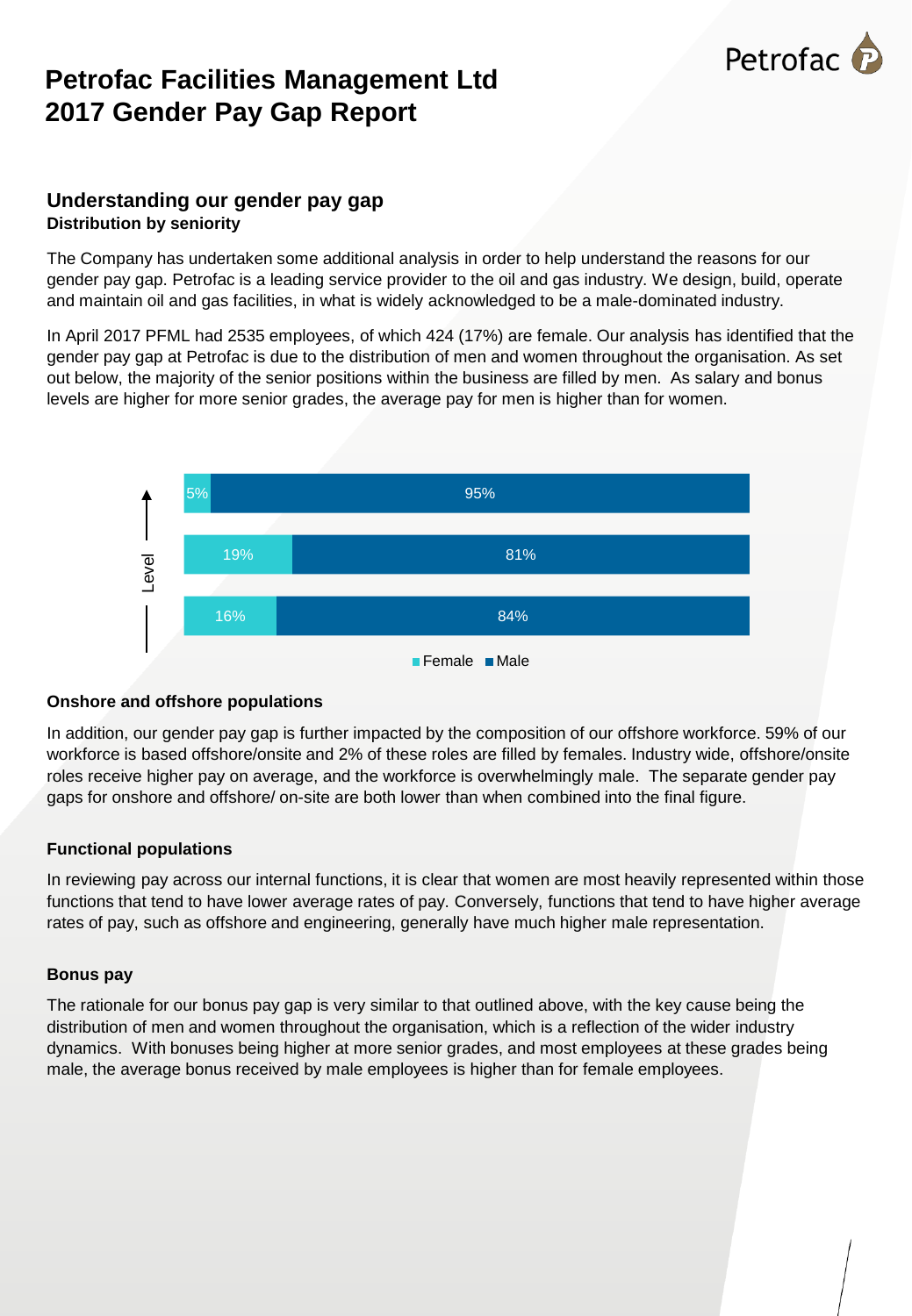# Petrofac

# **Petrofac Facilities Management Ltd 2017 Gender Pay Gap Report**

#### **Understanding our gender pay gap Distribution by seniority**

The Company has undertaken some additional analysis in order to help understand the reasons for our gender pay gap. Petrofac is a leading service provider to the oil and gas industry. We design, build, operate and maintain oil and gas facilities, in what is widely acknowledged to be a male-dominated industry.

In April 2017 PFML had 2535 employees, of which 424 (17%) are female. Our analysis has identified that the gender pay gap at Petrofac is due to the distribution of men and women throughout the organisation. As set out below, the majority of the senior positions within the business are filled by men. As salary and bonus levels are higher for more senior grades, the average pay for men is higher than for women.



#### **Onshore and offshore populations**

In addition, our gender pay gap is further impacted by the composition of our offshore workforce. 59% of our workforce is based offshore/onsite and 2% of these roles are filled by females. Industry wide, offshore/onsite roles receive higher pay on average, and the workforce is overwhelmingly male. The separate gender pay gaps for onshore and offshore/ on-site are both lower than when combined into the final figure.

#### **Functional populations**

In reviewing pay across our internal functions, it is clear that women are most heavily represented within those functions that tend to have lower average rates of pay. Conversely, functions that tend to have higher average rates of pay, such as offshore and engineering, generally have much higher male representation.

#### **Bonus pay**

The rationale for our bonus pay gap is very similar to that outlined above, with the key cause being the distribution of men and women throughout the organisation, which is a reflection of the wider industry dynamics. With bonuses being higher at more senior grades, and most employees at these grades being male, the average bonus received by male employees is higher than for female employees.